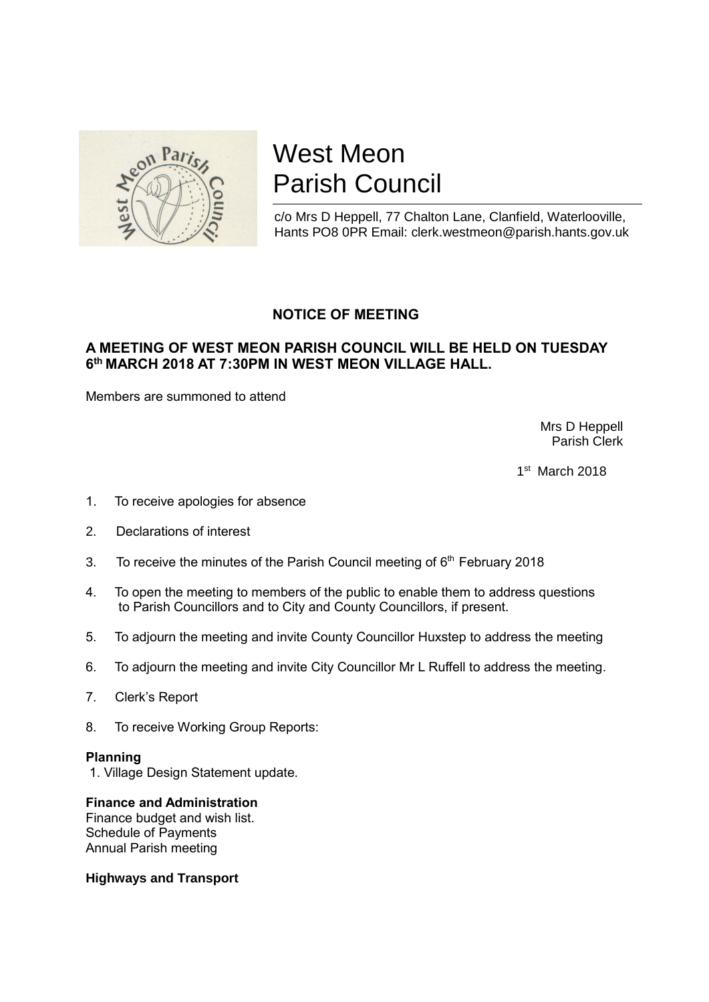

# West Meon Parish Council

c/o Mrs D Heppell, 77 Chalton Lane, Clanfield, Waterlooville, Hants PO8 0PR Email: clerk.westmeon@parish.hants.gov.uk

## **NOTICE OF MEETING**

## **A MEETING OF WEST MEON PARISH COUNCIL WILL BE HELD ON TUESDAY 6 th MARCH 2018 AT 7:30PM IN WEST MEON VILLAGE HALL.**

Members are summoned to attend

 Mrs D Heppell Parish Clerk

 $1$  $1<sup>st</sup>$  March 2018

- 1. To receive apologies for absence
- 2. Declarations of interest
- 3. To receive the minutes of the Parish Council meeting of  $6<sup>th</sup>$  February 2018
- 4. To open the meeting to members of the public to enable them to address questions to Parish Councillors and to City and County Councillors, if present.
- 5. To adjourn the meeting and invite County Councillor Huxstep to address the meeting
- 6. To adjourn the meeting and invite City Councillor Mr L Ruffell to address the meeting.
- 7. Clerk's Report
- 8. To receive Working Group Reports:

#### **Planning**

1. Village Design Statement update.

### **Finance and Administration**

Finance budget and wish list. Schedule of Payments Annual Parish meeting

#### **Highways and Transport**